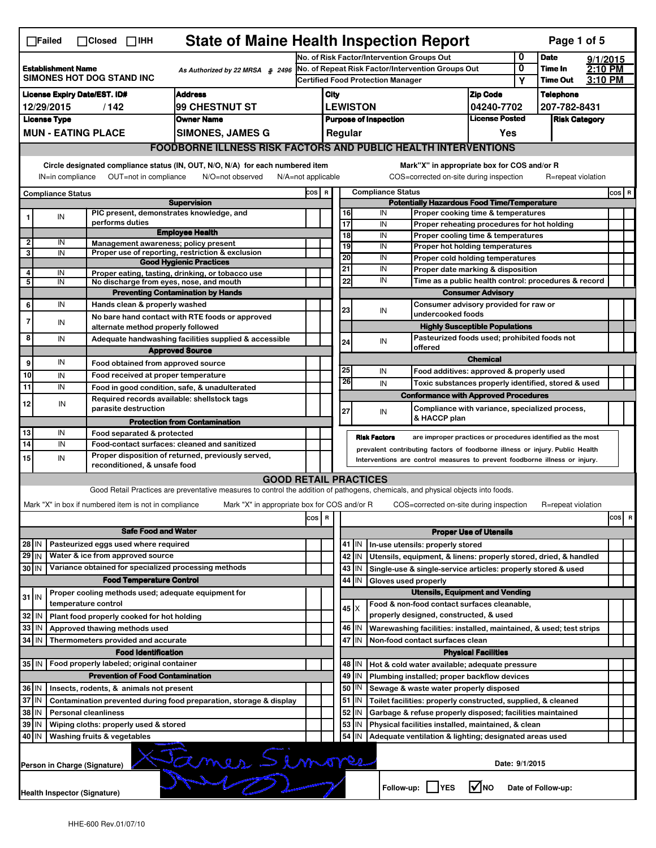|                                                                                                                                                          | <b>State of Maine Health Inspection Report</b><br>$\Box$ Failed<br>Page 1 of 5<br>$\Box$ Closed<br>$\Box$ IHH |                               |                                                                                                                                                                                    |                                                                                                                                   |                                                       |                                                                                               |             |                               |                                                                                       |                                                                       |                                                                                       |                     |                      |  |     |   |
|----------------------------------------------------------------------------------------------------------------------------------------------------------|---------------------------------------------------------------------------------------------------------------|-------------------------------|------------------------------------------------------------------------------------------------------------------------------------------------------------------------------------|-----------------------------------------------------------------------------------------------------------------------------------|-------------------------------------------------------|-----------------------------------------------------------------------------------------------|-------------|-------------------------------|---------------------------------------------------------------------------------------|-----------------------------------------------------------------------|---------------------------------------------------------------------------------------|---------------------|----------------------|--|-----|---|
|                                                                                                                                                          |                                                                                                               |                               |                                                                                                                                                                                    | 0<br>No. of Risk Factor/Intervention Groups Out                                                                                   |                                                       |                                                                                               |             |                               |                                                                                       |                                                                       | <b>Date</b>                                                                           | 9/1/2015            |                      |  |     |   |
|                                                                                                                                                          | <b>Establishment Name</b><br>As Authorized by 22 MRSA § 2496<br>SIMONES HOT DOG STAND INC                     |                               |                                                                                                                                                                                    |                                                                                                                                   |                                                       | No. of Repeat Risk Factor/Intervention Groups Out<br><b>Certified Food Protection Manager</b> |             |                               |                                                                                       |                                                                       | 0<br>Υ                                                                                | Time In<br>Time Out | $2:10$ PM<br>3:10 PM |  |     |   |
|                                                                                                                                                          | <b>Address</b><br><b>License Expiry Date/EST. ID#</b>                                                         |                               |                                                                                                                                                                                    |                                                                                                                                   |                                                       | City                                                                                          |             |                               |                                                                                       | <b>Zip Code</b>                                                       |                                                                                       | <b>Telephone</b>    |                      |  |     |   |
| 99 CHESTNUT ST<br>12/29/2015<br>/142                                                                                                                     |                                                                                                               |                               |                                                                                                                                                                                    |                                                                                                                                   | <b>LEWISTON</b>                                       |                                                                                               |             |                               | 04240-7702                                                                            |                                                                       | 207-782-8431                                                                          |                     |                      |  |     |   |
| <b>License Type</b><br><b>Owner Name</b>                                                                                                                 |                                                                                                               |                               |                                                                                                                                                                                    |                                                                                                                                   | <b>License Posted</b><br><b>Purpose of Inspection</b> |                                                                                               |             |                               |                                                                                       |                                                                       | <b>Risk Category</b>                                                                  |                     |                      |  |     |   |
|                                                                                                                                                          |                                                                                                               | <b>MUN - EATING PLACE</b>     |                                                                                                                                                                                    | <b>SIMONES, JAMES G</b>                                                                                                           |                                                       | Regular<br>Yes                                                                                |             |                               |                                                                                       |                                                                       |                                                                                       |                     |                      |  |     |   |
|                                                                                                                                                          |                                                                                                               |                               |                                                                                                                                                                                    | <b>FOODBORNE ILLNESS RISK FACTORS AND PUBLIC HEALTH INTERVENTIONS</b>                                                             |                                                       |                                                                                               |             |                               |                                                                                       |                                                                       |                                                                                       |                     |                      |  |     |   |
|                                                                                                                                                          | Circle designated compliance status (IN, OUT, N/O, N/A) for each numbered item                                |                               |                                                                                                                                                                                    |                                                                                                                                   |                                                       |                                                                                               |             |                               |                                                                                       |                                                                       | Mark"X" in appropriate box for COS and/or R                                           |                     |                      |  |     |   |
|                                                                                                                                                          | OUT=not in compliance<br>IN=in compliance<br>N/O=not observed<br>N/A=not applicable                           |                               |                                                                                                                                                                                    |                                                                                                                                   |                                                       |                                                                                               |             |                               | COS=corrected on-site during inspection                                               |                                                                       |                                                                                       |                     | R=repeat violation   |  |     |   |
|                                                                                                                                                          | <b>Compliance Status</b>                                                                                      |                               |                                                                                                                                                                                    | <b>Supervision</b>                                                                                                                |                                                       | <b>Compliance Status</b><br>COS R<br><b>Potentially Hazardous Food Time/Temperature</b>       |             |                               |                                                                                       |                                                                       |                                                                                       |                     | cos R                |  |     |   |
| 1                                                                                                                                                        | IN                                                                                                            |                               |                                                                                                                                                                                    | PIC present, demonstrates knowledge, and                                                                                          |                                                       |                                                                                               | 16          |                               | IN                                                                                    |                                                                       | Proper cooking time & temperatures                                                    |                     |                      |  |     |   |
|                                                                                                                                                          |                                                                                                               | performs duties               |                                                                                                                                                                                    | <b>Employee Health</b>                                                                                                            |                                                       |                                                                                               | 17          |                               | IN                                                                                    |                                                                       | Proper reheating procedures for hot holding                                           |                     |                      |  |     |   |
| $\mathbf{2}$                                                                                                                                             | IN                                                                                                            |                               |                                                                                                                                                                                    | Management awareness; policy present                                                                                              |                                                       |                                                                                               | 18<br>19    |                               | IN<br>IN                                                                              |                                                                       | Proper cooling time & temperatures<br>Proper hot holding temperatures                 |                     |                      |  |     |   |
| 3                                                                                                                                                        | IN                                                                                                            |                               |                                                                                                                                                                                    | Proper use of reporting, restriction & exclusion                                                                                  |                                                       |                                                                                               | 20          |                               | IN                                                                                    |                                                                       |                                                                                       |                     |                      |  |     |   |
| 4                                                                                                                                                        |                                                                                                               |                               |                                                                                                                                                                                    | <b>Good Hygienic Practices</b>                                                                                                    |                                                       |                                                                                               | 21          |                               | IN                                                                                    | Proper cold holding temperatures<br>Proper date marking & disposition |                                                                                       |                     |                      |  |     |   |
| 5                                                                                                                                                        | IN<br>$\overline{IN}$                                                                                         |                               |                                                                                                                                                                                    | Proper eating, tasting, drinking, or tobacco use<br>No discharge from eyes, nose, and mouth                                       |                                                       |                                                                                               | 22          |                               | IN                                                                                    |                                                                       | Time as a public health control: procedures & record                                  |                     |                      |  |     |   |
|                                                                                                                                                          |                                                                                                               |                               |                                                                                                                                                                                    | <b>Preventing Contamination by Hands</b>                                                                                          |                                                       |                                                                                               |             |                               |                                                                                       |                                                                       | <b>Consumer Advisory</b>                                                              |                     |                      |  |     |   |
| 6                                                                                                                                                        | IN                                                                                                            |                               | Hands clean & properly washed                                                                                                                                                      |                                                                                                                                   |                                                       |                                                                                               | 23          |                               | IN                                                                                    |                                                                       | Consumer advisory provided for raw or                                                 |                     |                      |  |     |   |
| 7                                                                                                                                                        | IN                                                                                                            |                               |                                                                                                                                                                                    | No bare hand contact with RTE foods or approved                                                                                   |                                                       |                                                                                               |             |                               | undercooked foods                                                                     |                                                                       |                                                                                       |                     |                      |  |     |   |
| 8                                                                                                                                                        |                                                                                                               |                               | alternate method properly followed                                                                                                                                                 |                                                                                                                                   |                                                       |                                                                                               |             |                               |                                                                                       |                                                                       | <b>Highly Susceptible Populations</b><br>Pasteurized foods used; prohibited foods not |                     |                      |  |     |   |
|                                                                                                                                                          | IN                                                                                                            |                               |                                                                                                                                                                                    | Adequate handwashing facilities supplied & accessible<br><b>Approved Source</b>                                                   |                                                       |                                                                                               | 24          |                               | IN<br>offered                                                                         |                                                                       |                                                                                       |                     |                      |  |     |   |
| 9                                                                                                                                                        | IN                                                                                                            |                               | Food obtained from approved source                                                                                                                                                 |                                                                                                                                   |                                                       |                                                                                               |             |                               | <b>Chemical</b>                                                                       |                                                                       |                                                                                       |                     |                      |  |     |   |
| 10                                                                                                                                                       | IN                                                                                                            |                               | Food received at proper temperature                                                                                                                                                |                                                                                                                                   |                                                       |                                                                                               | 25          |                               | IN                                                                                    |                                                                       | Food additives: approved & properly used                                              |                     |                      |  |     |   |
| 11                                                                                                                                                       | IN                                                                                                            |                               |                                                                                                                                                                                    | Food in good condition, safe, & unadulterated                                                                                     |                                                       |                                                                                               | 26          |                               | IN                                                                                    |                                                                       | Toxic substances properly identified, stored & used                                   |                     |                      |  |     |   |
|                                                                                                                                                          |                                                                                                               |                               |                                                                                                                                                                                    | Required records available: shellstock tags                                                                                       |                                                       |                                                                                               |             |                               |                                                                                       |                                                                       | <b>Conformance with Approved Procedures</b>                                           |                     |                      |  |     |   |
| 12                                                                                                                                                       | IN                                                                                                            |                               | parasite destruction                                                                                                                                                               |                                                                                                                                   |                                                       |                                                                                               | 27          |                               | IN                                                                                    |                                                                       | Compliance with variance, specialized process,                                        |                     |                      |  |     |   |
|                                                                                                                                                          |                                                                                                               |                               |                                                                                                                                                                                    | <b>Protection from Contamination</b>                                                                                              |                                                       |                                                                                               |             |                               | & HACCP plan                                                                          |                                                                       |                                                                                       |                     |                      |  |     |   |
| 13                                                                                                                                                       | IN                                                                                                            |                               | Food separated & protected                                                                                                                                                         |                                                                                                                                   |                                                       |                                                                                               |             |                               | <b>Risk Factors</b>                                                                   |                                                                       | are improper practices or procedures identified as the most                           |                     |                      |  |     |   |
| 14                                                                                                                                                       | IN                                                                                                            |                               | Food-contact surfaces: cleaned and sanitized<br>prevalent contributing factors of foodborne illness or injury. Public Health<br>Proper disposition of returned, previously served, |                                                                                                                                   |                                                       |                                                                                               |             |                               |                                                                                       |                                                                       |                                                                                       |                     |                      |  |     |   |
| 15                                                                                                                                                       | IN                                                                                                            |                               | reconditioned, & unsafe food                                                                                                                                                       |                                                                                                                                   |                                                       |                                                                                               |             |                               | Interventions are control measures to prevent foodborne illness or injury.            |                                                                       |                                                                                       |                     |                      |  |     |   |
|                                                                                                                                                          |                                                                                                               |                               |                                                                                                                                                                                    | <b>GOOD RETAIL PRACTICES</b>                                                                                                      |                                                       |                                                                                               |             |                               |                                                                                       |                                                                       |                                                                                       |                     |                      |  |     |   |
|                                                                                                                                                          |                                                                                                               |                               |                                                                                                                                                                                    | Good Retail Practices are preventative measures to control the addition of pathogens, chemicals, and physical objects into foods. |                                                       |                                                                                               |             |                               |                                                                                       |                                                                       |                                                                                       |                     |                      |  |     |   |
|                                                                                                                                                          |                                                                                                               |                               | Mark "X" in box if numbered item is not in compliance                                                                                                                              | Mark "X" in appropriate box for COS and/or R                                                                                      |                                                       |                                                                                               |             |                               | COS=corrected on-site during inspection                                               |                                                                       |                                                                                       |                     | R=repeat violation   |  |     |   |
|                                                                                                                                                          |                                                                                                               |                               |                                                                                                                                                                                    |                                                                                                                                   | cos R                                                 |                                                                                               |             |                               |                                                                                       |                                                                       |                                                                                       |                     |                      |  | cos | R |
|                                                                                                                                                          |                                                                                                               |                               | <b>Safe Food and Water</b>                                                                                                                                                         |                                                                                                                                   |                                                       |                                                                                               |             | <b>Proper Use of Utensils</b> |                                                                                       |                                                                       |                                                                                       |                     |                      |  |     |   |
| 28 IN                                                                                                                                                    |                                                                                                               |                               | Pasteurized eggs used where required                                                                                                                                               |                                                                                                                                   |                                                       |                                                                                               |             | 41 IN                         | In-use utensils: properly stored                                                      |                                                                       |                                                                                       |                     |                      |  |     |   |
| $29$ IN                                                                                                                                                  |                                                                                                               |                               | Water & ice from approved source                                                                                                                                                   |                                                                                                                                   |                                                       |                                                                                               |             | 42 IN                         | Utensils, equipment, & linens: properly stored, dried, & handled                      |                                                                       |                                                                                       |                     |                      |  |     |   |
| 30 IN                                                                                                                                                    |                                                                                                               |                               |                                                                                                                                                                                    | Variance obtained for specialized processing methods                                                                              |                                                       |                                                                                               |             | 43   IN                       | Single-use & single-service articles: properly stored & used                          |                                                                       |                                                                                       |                     |                      |  |     |   |
|                                                                                                                                                          |                                                                                                               |                               | <b>Food Temperature Control</b>                                                                                                                                                    |                                                                                                                                   |                                                       |                                                                                               |             | 44 I IN                       | Gloves used properly                                                                  |                                                                       |                                                                                       |                     |                      |  |     |   |
| $31$ IN                                                                                                                                                  |                                                                                                               |                               |                                                                                                                                                                                    | Proper cooling methods used; adequate equipment for                                                                               |                                                       |                                                                                               |             |                               |                                                                                       |                                                                       | <b>Utensils, Equipment and Vending</b>                                                |                     |                      |  |     |   |
|                                                                                                                                                          |                                                                                                               | temperature control           |                                                                                                                                                                                    |                                                                                                                                   |                                                       |                                                                                               | $45 \times$ |                               | Food & non-food contact surfaces cleanable,<br>properly designed, constructed, & used |                                                                       |                                                                                       |                     |                      |  |     |   |
| 32 IN<br>33 IN                                                                                                                                           |                                                                                                               | Approved thawing methods used | Plant food properly cooked for hot holding                                                                                                                                         |                                                                                                                                   |                                                       |                                                                                               |             | 46   IN                       | Warewashing facilities: installed, maintained, & used; test strips                    |                                                                       |                                                                                       |                     |                      |  |     |   |
| 34 IN                                                                                                                                                    |                                                                                                               |                               | Thermometers provided and accurate                                                                                                                                                 |                                                                                                                                   |                                                       |                                                                                               |             | 47 I IN                       | Non-food contact surfaces clean                                                       |                                                                       |                                                                                       |                     |                      |  |     |   |
|                                                                                                                                                          |                                                                                                               |                               | <b>Food Identification</b>                                                                                                                                                         |                                                                                                                                   |                                                       |                                                                                               |             |                               |                                                                                       |                                                                       | <b>Physical Facilities</b>                                                            |                     |                      |  |     |   |
| 35 IN                                                                                                                                                    |                                                                                                               |                               | Food properly labeled; original container                                                                                                                                          |                                                                                                                                   |                                                       |                                                                                               |             | 48   IN                       | Hot & cold water available; adequate pressure                                         |                                                                       |                                                                                       |                     |                      |  |     |   |
|                                                                                                                                                          |                                                                                                               |                               | <b>Prevention of Food Contamination</b>                                                                                                                                            |                                                                                                                                   |                                                       |                                                                                               |             | 49 IN                         | Plumbing installed; proper backflow devices                                           |                                                                       |                                                                                       |                     |                      |  |     |   |
| 36 IN<br>50   IN<br>Insects, rodents, & animals not present<br>Sewage & waste water properly disposed                                                    |                                                                                                               |                               |                                                                                                                                                                                    |                                                                                                                                   |                                                       |                                                                                               |             |                               |                                                                                       |                                                                       |                                                                                       |                     |                      |  |     |   |
| 37 IN<br>$51$   IN<br>Toilet facilities: properly constructed, supplied, & cleaned<br>Contamination prevented during food preparation, storage & display |                                                                                                               |                               |                                                                                                                                                                                    |                                                                                                                                   |                                                       |                                                                                               |             |                               |                                                                                       |                                                                       |                                                                                       |                     |                      |  |     |   |
|                                                                                                                                                          | 38   IN<br><b>Personal cleanliness</b>                                                                        |                               |                                                                                                                                                                                    |                                                                                                                                   |                                                       |                                                                                               |             | 52   IN                       | Garbage & refuse properly disposed; facilities maintained                             |                                                                       |                                                                                       |                     |                      |  |     |   |
| 39 IN                                                                                                                                                    |                                                                                                               |                               | Wiping cloths: properly used & stored                                                                                                                                              |                                                                                                                                   |                                                       |                                                                                               | 53          | IN                            | Physical facilities installed, maintained, & clean                                    |                                                                       |                                                                                       |                     |                      |  |     |   |
| 40 IN                                                                                                                                                    |                                                                                                               | Washing fruits & vegetables   |                                                                                                                                                                                    |                                                                                                                                   |                                                       |                                                                                               |             | 54 IN                         | Adequate ventilation & lighting; designated areas used                                |                                                                       |                                                                                       |                     |                      |  |     |   |
| Emes Simone<br>Date: 9/1/2015<br>Person in Charge (Signature)                                                                                            |                                                                                                               |                               |                                                                                                                                                                                    |                                                                                                                                   |                                                       |                                                                                               |             |                               |                                                                                       |                                                                       |                                                                                       |                     |                      |  |     |   |
|                                                                                                                                                          | $\sqrt{N}$<br>Follow-up:     YES<br>Date of Follow-up:<br>Health Inspector (Signature)                        |                               |                                                                                                                                                                                    |                                                                                                                                   |                                                       |                                                                                               |             |                               |                                                                                       |                                                                       |                                                                                       |                     |                      |  |     |   |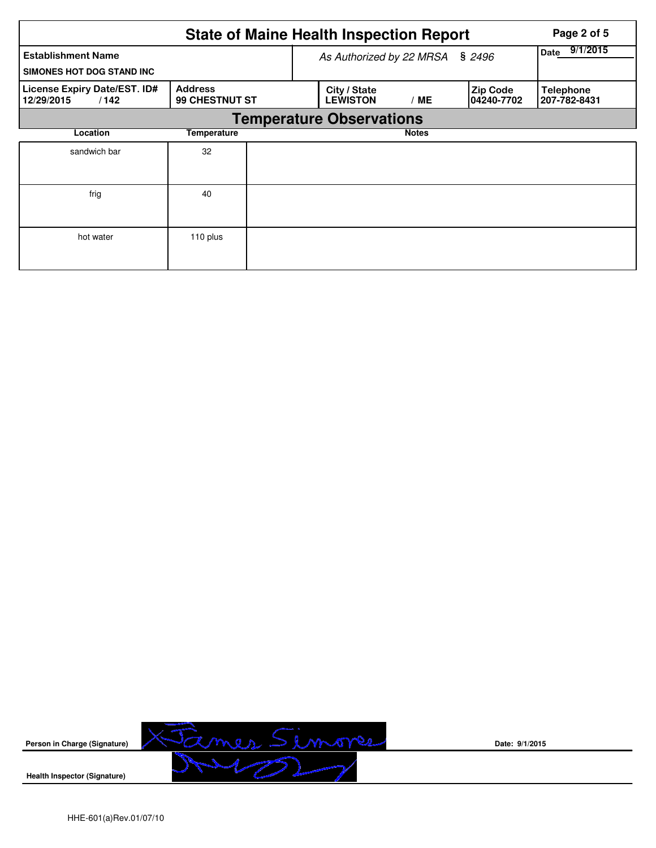|                                                        | Page 2 of 5                      |                                                                               |  |                                  |                  |
|--------------------------------------------------------|----------------------------------|-------------------------------------------------------------------------------|--|----------------------------------|------------------|
| <b>Establishment Name</b><br>SIMONES HOT DOG STAND INC |                                  | \$2496<br>As Authorized by 22 MRSA                                            |  |                                  | 9/1/2015<br>Date |
| License Expiry Date/EST. ID#<br>/142<br>12/29/2015     | <b>Address</b><br>99 CHESTNUT ST | City / State<br><b>Zip Code</b><br><b>LEWISTON</b><br><b>ME</b><br>04240-7702 |  | <b>Telephone</b><br>207-782-8431 |                  |
|                                                        |                                  | <b>Temperature Observations</b>                                               |  |                                  |                  |
| Location                                               |                                  | <b>Notes</b>                                                                  |  |                                  |                  |
| sandwich bar                                           | 32                               |                                                                               |  |                                  |                  |
| frig                                                   | 40                               |                                                                               |  |                                  |                  |
| hot water                                              | 110 plus                         |                                                                               |  |                                  |                  |



**Date: 9/1/2015**

**Health Inspector (Signature)**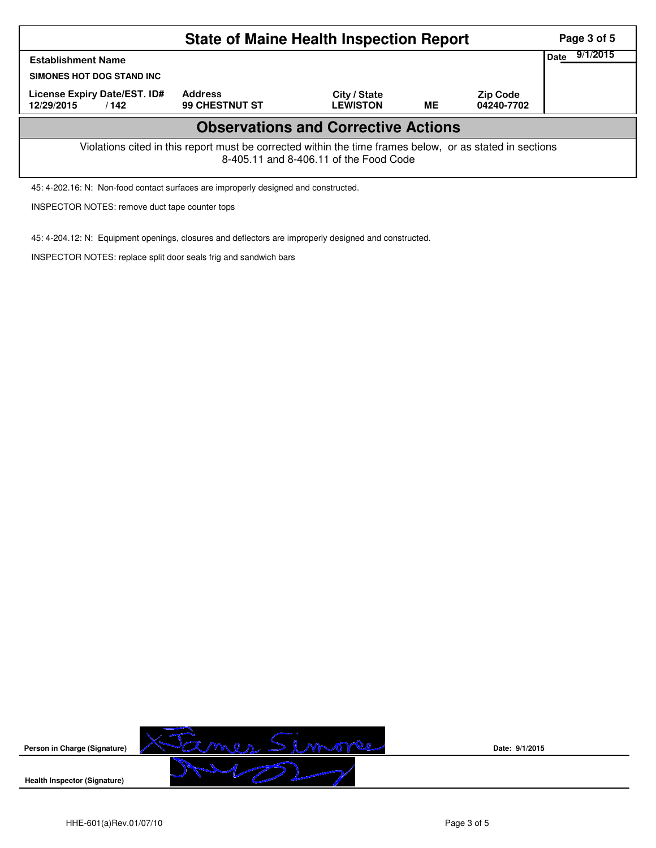| <b>State of Maine Health Inspection Report</b>                                                                                                     |                                  |                                 |           |                               |  |  |  |  |  |
|----------------------------------------------------------------------------------------------------------------------------------------------------|----------------------------------|---------------------------------|-----------|-------------------------------|--|--|--|--|--|
| Date<br><b>Establishment Name</b><br>SIMONES HOT DOG STAND INC                                                                                     |                                  |                                 |           |                               |  |  |  |  |  |
| License Expiry Date/EST. ID#<br>12/29/2015<br>/142                                                                                                 | <b>Address</b><br>99 CHESTNUT ST | City / State<br><b>LEWISTON</b> | <b>ME</b> | <b>Zip Code</b><br>04240-7702 |  |  |  |  |  |
| <b>Observations and Corrective Actions</b>                                                                                                         |                                  |                                 |           |                               |  |  |  |  |  |
| Violations cited in this report must be corrected within the time frames below, or as stated in sections<br>8-405.11 and 8-406.11 of the Food Code |                                  |                                 |           |                               |  |  |  |  |  |

45: 4-202.16: N: Non-food contact surfaces are improperly designed and constructed.

INSPECTOR NOTES: remove duct tape counter tops

45: 4-204.12: N: Equipment openings, closures and deflectors are improperly designed and constructed.

INSPECTOR NOTES: replace split door seals frig and sandwich bars



**Date: 9/1/2015**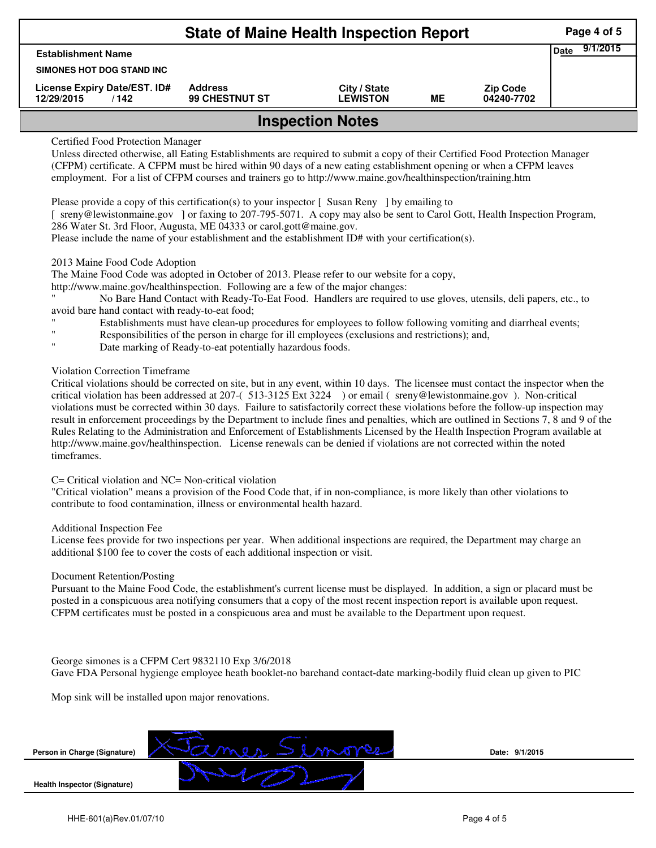| <b>State of Maine Health Inspection Report</b>     |                                         |                                 |    |                               |  |  |  |  |  |
|----------------------------------------------------|-----------------------------------------|---------------------------------|----|-------------------------------|--|--|--|--|--|
| <b>Establishment Name</b>                          |                                         |                                 |    |                               |  |  |  |  |  |
| SIMONES HOT DOG STAND INC                          |                                         |                                 |    |                               |  |  |  |  |  |
| License Expiry Date/EST. ID#<br>12/29/2015<br>/142 | <b>Address</b><br><b>99 CHESTNUT ST</b> | City / State<br><b>LEWISTON</b> | MЕ | <b>Zip Code</b><br>04240-7702 |  |  |  |  |  |
| <b>Inspection Notes</b>                            |                                         |                                 |    |                               |  |  |  |  |  |

# Certified Food Protection Manager

Unless directed otherwise, all Eating Establishments are required to submit a copy of their Certified Food Protection Manager (CFPM) certificate. A CFPM must be hired within 90 days of a new eating establishment opening or when a CFPM leaves employment. For a list of CFPM courses and trainers go to http://www.maine.gov/healthinspection/training.htm

Please provide a copy of this certification(s) to your inspector [ Susan Reny ] by emailing to

[ sreny@lewistonmaine.gov ] or faxing to 207-795-5071. A copy may also be sent to Carol Gott, Health Inspection Program, 286 Water St. 3rd Floor, Augusta, ME 04333 or carol.gott@maine.gov.

Please include the name of your establishment and the establishment ID# with your certification(s).

# 2013 Maine Food Code Adoption

The Maine Food Code was adopted in October of 2013. Please refer to our website for a copy,

http://www.maine.gov/healthinspection. Following are a few of the major changes:

" No Bare Hand Contact with Ready-To-Eat Food. Handlers are required to use gloves, utensils, deli papers, etc., to avoid bare hand contact with ready-to-eat food;

- Establishments must have clean-up procedures for employees to follow following vomiting and diarrheal events;
- Responsibilities of the person in charge for ill employees (exclusions and restrictions); and,
- Date marking of Ready-to-eat potentially hazardous foods.

# Violation Correction Timeframe

Critical violations should be corrected on site, but in any event, within 10 days. The licensee must contact the inspector when the critical violation has been addressed at 207-( 513-3125 Ext 3224 ) or email ( sreny@lewistonmaine.gov ). Non-critical violations must be corrected within 30 days. Failure to satisfactorily correct these violations before the follow-up inspection may result in enforcement proceedings by the Department to include fines and penalties, which are outlined in Sections 7, 8 and 9 of the Rules Relating to the Administration and Enforcement of Establishments Licensed by the Health Inspection Program available at http://www.maine.gov/healthinspection. License renewals can be denied if violations are not corrected within the noted timeframes.

# C= Critical violation and NC= Non-critical violation

"Critical violation" means a provision of the Food Code that, if in non-compliance, is more likely than other violations to contribute to food contamination, illness or environmental health hazard.

#### Additional Inspection Fee

License fees provide for two inspections per year. When additional inspections are required, the Department may charge an additional \$100 fee to cover the costs of each additional inspection or visit.

#### Document Retention/Posting

Pursuant to the Maine Food Code, the establishment's current license must be displayed. In addition, a sign or placard must be posted in a conspicuous area notifying consumers that a copy of the most recent inspection report is available upon request. CFPM certificates must be posted in a conspicuous area and must be available to the Department upon request.

#### George simones is a CFPM Cert 9832110 Exp 3/6/2018

Gave FDA Personal hygienge employee heath booklet-no barehand contact-date marking-bodily fluid clean up given to PIC

Mop sink will be installed upon major renovations.